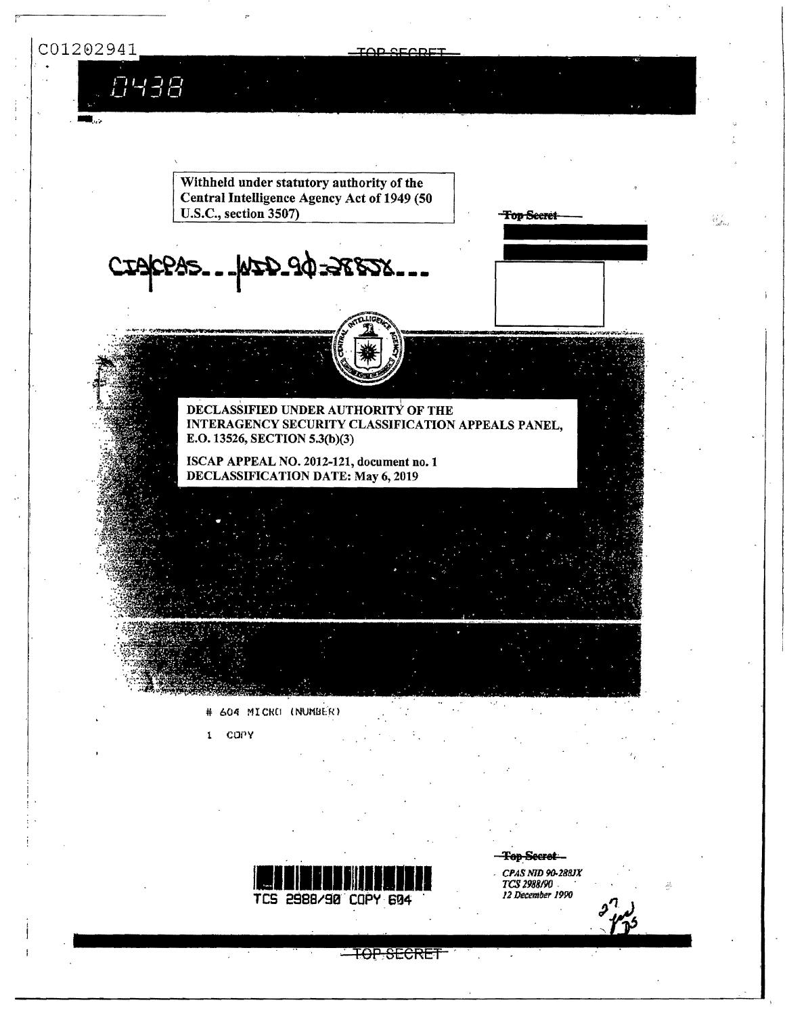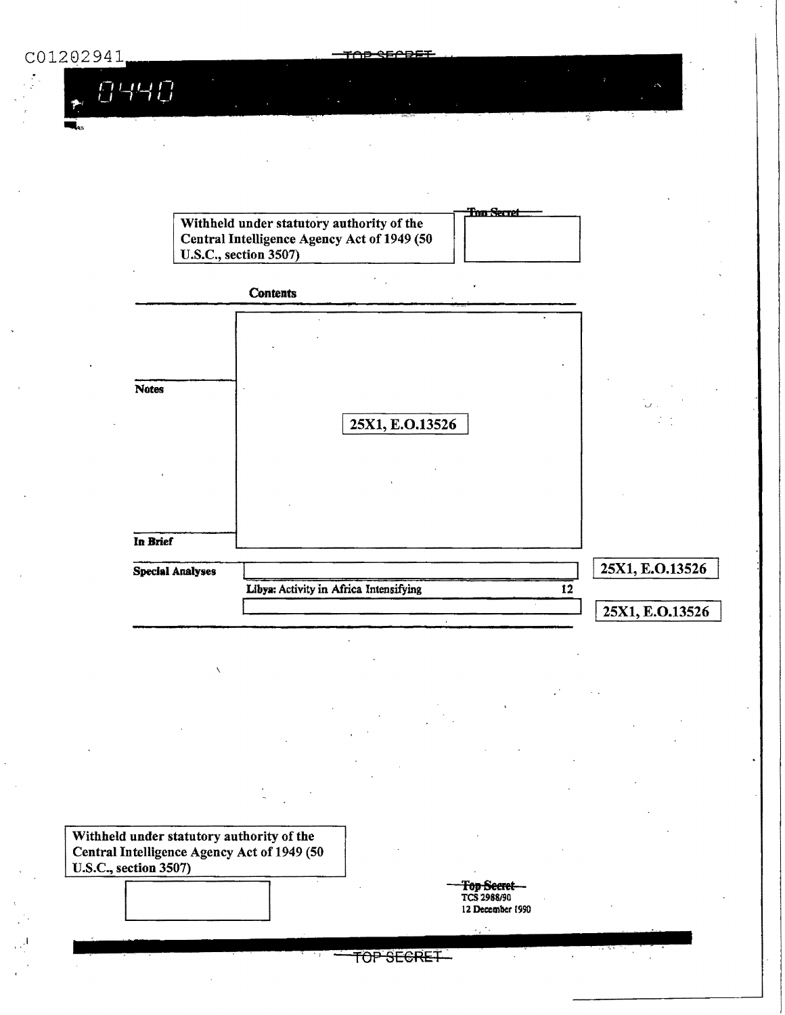궆

1440



Withheld under statutory authority of the Central Intelligence Agency Act of 1949 (50 U.S.C., section 3507)

<del>Fop Secret</del> TCS 2988/90 12 December 1990

 $\mathcal{L}_1$  ,  $\mathcal{L}_2$ 

TOP SECRET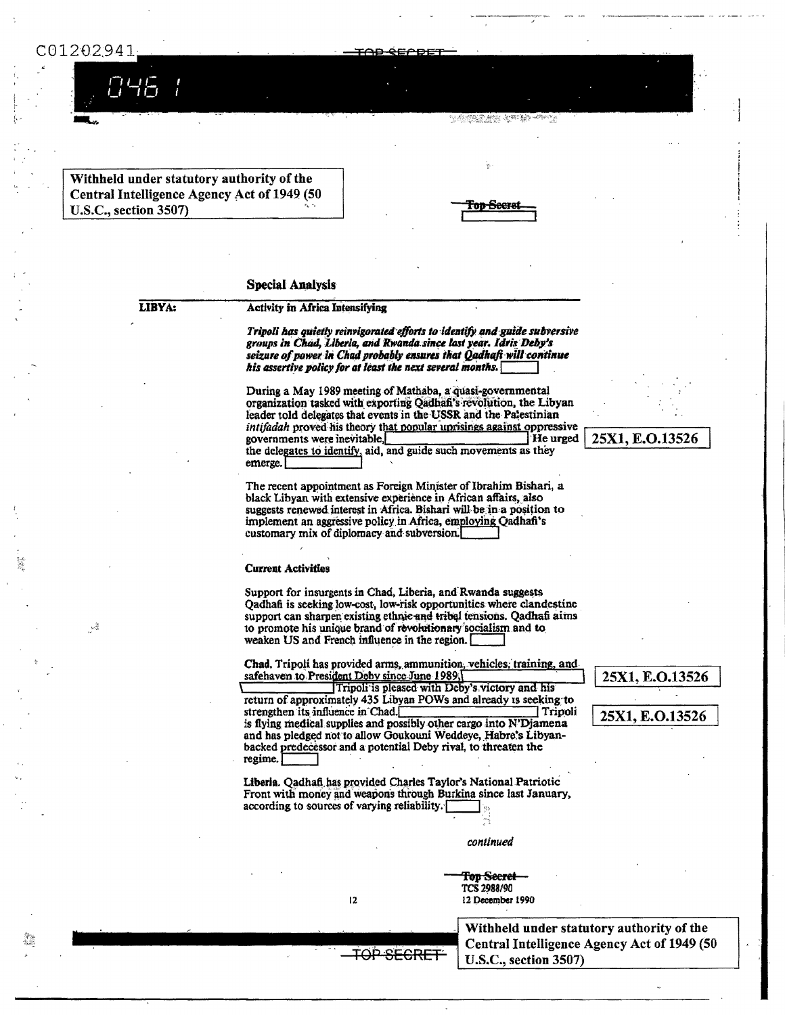## C01202941

。<br>28

Withheld under statutory authority of the Central Intelligence Agency Act of 1949 (50 U.S.C., section 3507)

| <b>PRODUCTS</b><br>h<br>Ł | Φ |
|---------------------------|---|
|                           |   |

<u>Pages to a m</u>

### **Special Analysis**

LIBYA:

#### **Activity in Africa Intensifying**

Tripoli has quietly reinvigorated efforts to identify and guide subversive groups in Chad, Liberia, and Rwanda since last year. Idris Deby's seizure of power in Chad probably ensures that Qadhaft will continue his assertive policy for at least the next several months.

During a May 1989 meeting of Mathaba, a quasi-governmental organization tasked with exporting Qadhafi's revolution, the Libyan leader told delegates that events in the USSR and the Palestinian intifadah proved his theory that popular uprisings against oppressive governments were inevitable, He urged the delegates to identify, aid, and guide such movements as they emerge.

The recent appointment as Foreign Minister of Ibrahim Bishari, a black Libyan with extensive experience in African affairs, also suggests renewed interest in Africa. Bishari will be in a position to implement an aggressive policy in Africa, employing Qadhafi's customary mix of diplomacy and subversion.

#### **Current Activities**

Support for insurgents in Chad, Liberia, and Rwanda suggests Qadhafi is seeking low-cost, low-risk opportunities where clandestine support can sharpen existing ethnic and tribal tensions. Qadhafi aims to promote his unique brand of revolutionary socialism and to weaken US and French influence in the region.

Chad. Tripoli has provided arms, ammunition, vehicles, training, and safehaven to President Deby since June 1989,

Tripoli is pleased with Deby's victory and his return of approximately 435 Libyan POWs and already is seeking to strengthen its influence in Chad. Tripoli is flying medical supplies and possibly other cargo into N'Djamena and has pledged not to allow Goukouni Weddeye, Habre's Libyanbacked predecessor and a potential Deby rival, to threaten the regime.

Liberia. Qadhafi has provided Charles Taylor's National Patriotic Front with money and weapons through Burkina since last January, according to sources of varying reliability.

**TOP SECRET** 

12

continued

Top <del>Secret</del> TCS 2988/90 12 December 1990

> Withheld under statutory authority of the Central Intelligence Agency Act of 1949 (50 U.S.C., section 3507)

25X1, E.O.13526

25X1, E.O.13526

25X1, E.O.13526